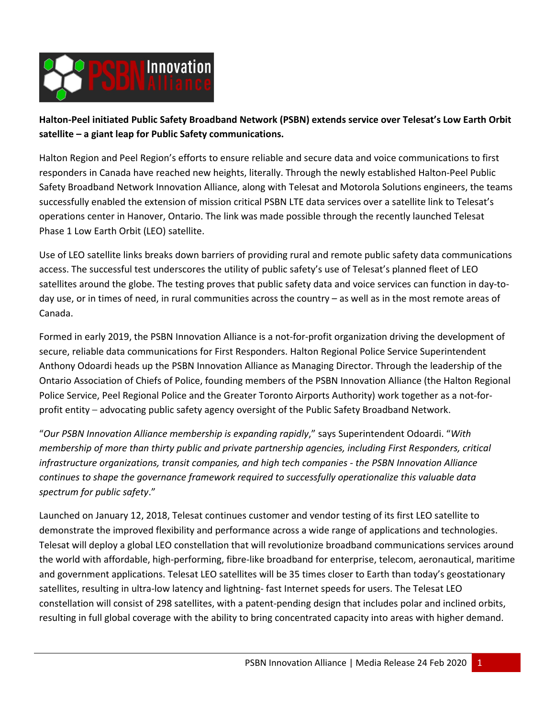

**Halton-Peel initiated Public Safety Broadband Network (PSBN) extends service over Telesat's Low Earth Orbit satellite – a giant leap for Public Safety communications.**

Halton Region and Peel Region's efforts to ensure reliable and secure data and voice communications to first responders in Canada have reached new heights, literally. Through the newly established Halton-Peel Public Safety Broadband Network Innovation Alliance, along with Telesat and Motorola Solutions engineers, the teams successfully enabled the extension of mission critical PSBN LTE data services over a satellite link to Telesat's operations center in Hanover, Ontario. The link was made possible through the recently launched Telesat Phase 1 Low Earth Orbit (LEO) satellite.

Use of LEO satellite links breaks down barriers of providing rural and remote public safety data communications access. The successful test underscores the utility of public safety's use of Telesat's planned fleet of LEO satellites around the globe. The testing proves that public safety data and voice services can function in day-today use, or in times of need, in rural communities across the country – as well as in the most remote areas of Canada.

Formed in early 2019, the PSBN Innovation Alliance is a not-for-profit organization driving the development of secure, reliable data communications for First Responders. Halton Regional Police Service Superintendent Anthony Odoardi heads up the PSBN Innovation Alliance as Managing Director. Through the leadership of the Ontario Association of Chiefs of Police, founding members of the PSBN Innovation Alliance (the Halton Regional Police Service, Peel Regional Police and the Greater Toronto Airports Authority) work together as a not-forprofit entity – advocating public safety agency oversight of the Public Safety Broadband Network.

"*Our PSBN Innovation Alliance membership is expanding rapidly*," says Superintendent Odoardi. "*With membership of more than thirty public and private partnership agencies, including First Responders, critical infrastructure organizations, transit companies, and high tech companies - the PSBN Innovation Alliance continues to shape the governance framework required to successfully operationalize this valuable data spectrum for public safety*."

Launched on January 12, 2018, Telesat continues customer and vendor testing of its first LEO satellite to demonstrate the improved flexibility and performance across a wide range of applications and technologies. Telesat will deploy a global LEO constellation that will revolutionize broadband communications services around the world with affordable, high-performing, fibre-like broadband for enterprise, telecom, aeronautical, maritime and government applications. Telesat LEO satellites will be 35 times closer to Earth than today's geostationary satellites, resulting in ultra-low latency and lightning- fast Internet speeds for users. The Telesat LEO constellation will consist of 298 satellites, with a patent-pending design that includes polar and inclined orbits, resulting in full global coverage with the ability to bring concentrated capacity into areas with higher demand.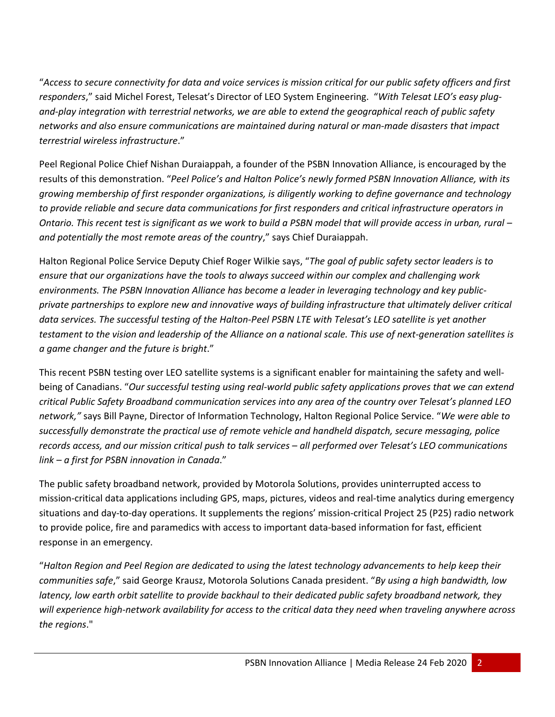"*Access to secure connectivity for data and voice services is mission critical for our public safety officers and first responders*," said Michel Forest, Telesat's Director of LEO System Engineering. "*With Telesat LEO's easy plugand-play integration with terrestrial networks, we are able to extend the geographical reach of public safety networks and also ensure communications are maintained during natural or man-made disasters that impact terrestrial wireless infrastructure*."

Peel Regional Police Chief Nishan Duraiappah, a founder of the PSBN Innovation Alliance, is encouraged by the results of this demonstration. "*Peel Police's and Halton Police's newly formed PSBN Innovation Alliance, with its growing membership of first responder organizations, is diligently working to define governance and technology to provide reliable and secure data communications for first responders and critical infrastructure operators in Ontario. This recent test is significant as we work to build a PSBN model that will provide access in urban, rural* – *and potentially the most remote areas of the country*," says Chief Duraiappah.

Halton Regional Police Service Deputy Chief Roger Wilkie says, "*The goal of public safety sector leaders is to ensure that our organizations have the tools to always succeed within our complex and challenging work environments. The PSBN Innovation Alliance has become a leader in leveraging technology and key publicprivate partnerships to explore new and innovative ways of building infrastructure that ultimately deliver critical data services. The successful testing of the Halton-Peel PSBN LTE with Telesat's LEO satellite is yet another testament to the vision and leadership of the Alliance on a national scale. This use of next-generation satellites is a game changer and the future is bright*."

This recent PSBN testing over LEO satellite systems is a significant enabler for maintaining the safety and wellbeing of Canadians. "*Our successful testing using real-world public safety applications proves that we can extend critical Public Safety Broadband communication services into any area of the country over Telesat's planned LEO network,"* says Bill Payne, Director of Information Technology, Halton Regional Police Service. "*We were able to successfully demonstrate the practical use of remote vehicle and handheld dispatch, secure messaging, police records access, and our mission critical push to talk services – all performed over Telesat's LEO communications link – a first for PSBN innovation in Canada*."

The public safety broadband network, provided by Motorola Solutions, provides uninterrupted access to mission-critical data applications including GPS, maps, pictures, videos and real-time analytics during emergency situations and day-to-day operations. It supplements the regions' mission-critical Project 25 (P25) radio network to provide police, fire and paramedics with access to important data-based information for fast, efficient response in an emergency.

"*Halton Region and Peel Region are dedicated to using the latest technology advancements to help keep their communities safe*," said George Krausz, Motorola Solutions Canada president. "*By using a high bandwidth, low latency, low earth orbit satellite to provide backhaul to their dedicated public safety broadband network, they will experience high-network availability for access to the critical data they need when traveling anywhere across the regions*."